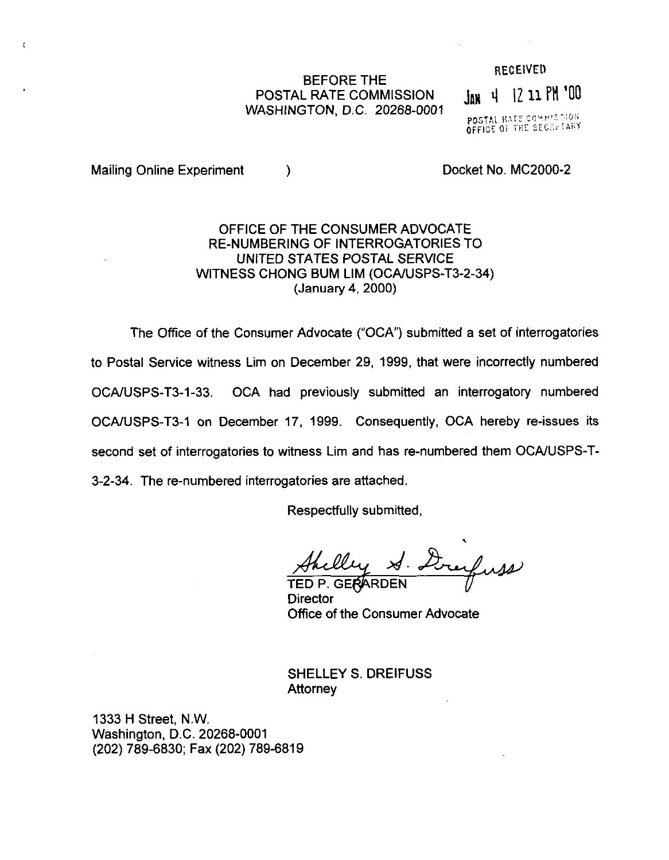## BEFORE THE POSTAL RATE COMMISSION WASHINGTON, D.C. 20268-0001

**RECEIVED** 

JAN 4 12 11 PM '00

POSTAL RATE COMMISSION OFFICE OF THE SECRETARY

Mailing Online Experiment (a) and the contract Docket No. MC2000-2

 $\mathfrak{t}$ 

## OFFICE OF THE CONSUMER ADVOCATE RE-NUMBERING OF INTERROGATORIES TO UNITED STATES POSTAL SERVICE WITNESS CHONG BUM LIM (OCAIUSPS-T3-2-34) (January 4,200O)

The Office of the Consumer Advocate ("OCA") submitted a set of interrogatories to Postal Service witness Lim on December 29, 1999, that were incorrectly numbered OCA/USPS-T3-1-33. OCA had previously submitted an interrogatory numbered OCAAJSPS-T3-1 on December 17, 1999. Consequently, OCA hereby re-issues its second set of interrogatories to witness Lim and has re-numbered them OCA/USPS-T-3-2-34. The re-numbered interrogatories are attached.

Respectfully submitted,

Anelly S. Dreywas

**Director** Office of the Consumer Advocate

SHELLEY S. DREIFUSS **Attorney** 

1333 H Street, N.W. Washington, D.C. 20268-0001 (202) 789-6830; Fax (202) 789-6819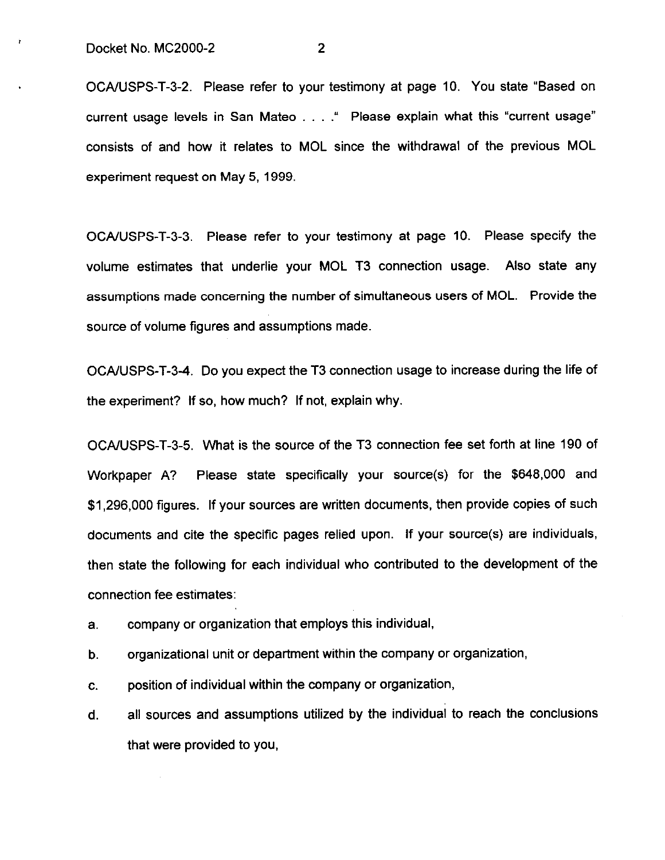ż

OCA/USPS-T-3-2. Please refer to your testimony at page 10. You state "Based on current usage levels in San Mateo . . . . " Please explain what this "current usage" consists of and how it relates to MOL since the withdrawal of the previous MOL experiment request on May 5,1999.

OCA/USPS-T-3-3. Please refer to your testimony at page 10. Please specify the volume estimates that underlie your MOL T3 connection usage. Also state any assumptions made concerning the number of simultaneous users of MOL. Provide the source of volume figures and assumptions made.

OCA/USPS-T-34. Do you expect the T3 connection usage to increase during the life of the experiment? If so, how much? If not, explain why.

OCAAJSPS-T-3-5. What is the source of the T3 connection fee set forth at line 190 of Workpaper A? Please state specifically your source(s) for the \$648,000 and \$1,296,000 figures. If your sources are written documents, then provide copies of such documents and cite the specific pages relied upon. If your source(s) are individuals, then state the following for each individual who contributed to the development of the connection fee estimates:

- a. company or organization that employs this individual,
- b. organizational unit or department within the company or organization,
- C. position of individual within the company or organization,
- d. all sources and assumptions utilized by the individual to reach the conclusions that were provided to you,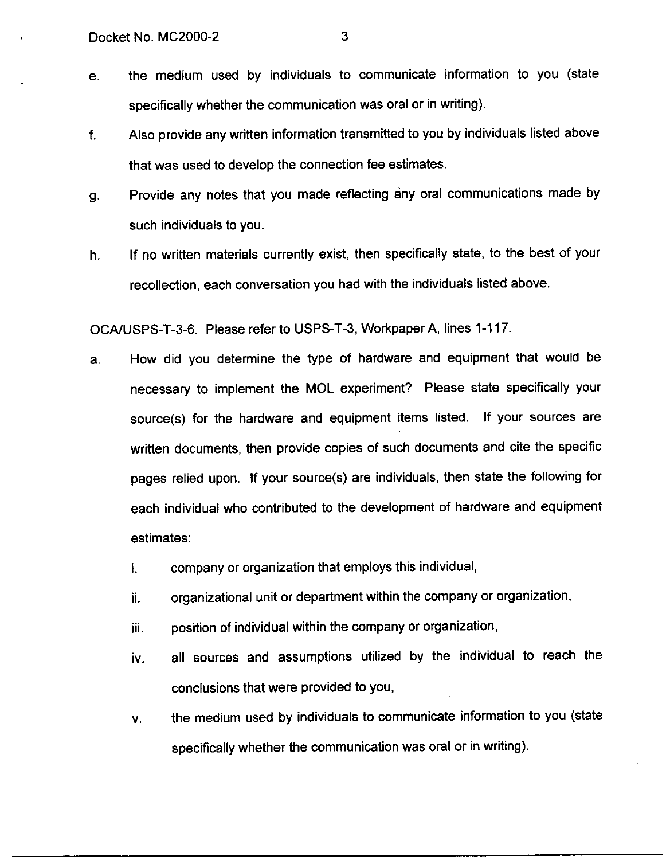e. the medium used by individuals to communicate information to you (state specifically whether the communication was oral or in writing).

- f. Also provide any written information transmitted to you by individuals listed above that was used to develop the connection fee estimates.
- 9. Provide any notes that you made reflecting any oral communications made by such individuals to you.
- h. If no written materials currently exist, then specifically state, to the best of your recollection, each conversation you had with the individuals listed above.

OCA/USPS-T-3-6. Please refer to USPS-T-3, Workpaper A, lines 1-117.

- a. How did you determine the type of hardware and equipment that would be necessary to implement the MOL experiment? Please state specifically your source(s) for the hardware and equipment items listed. If your sources are written documents, then provide copies of such documents and cite the specific pages relied upon. If your source(s) are individuals, then state the following for each individual who contributed to the development of hardware and equipment estimates:
	- i. company or organization that employs this individual,
	- ii. organizational unit or department within the company or organization,
	- iii. position of individual within the company or organization,
	- iv. all sources and assumptions utilized by the individual to reach the conclusions that were provided to you,
	- V. the medium used by individuals to communicate information to you (state specifically whether the communication was oral or in writing).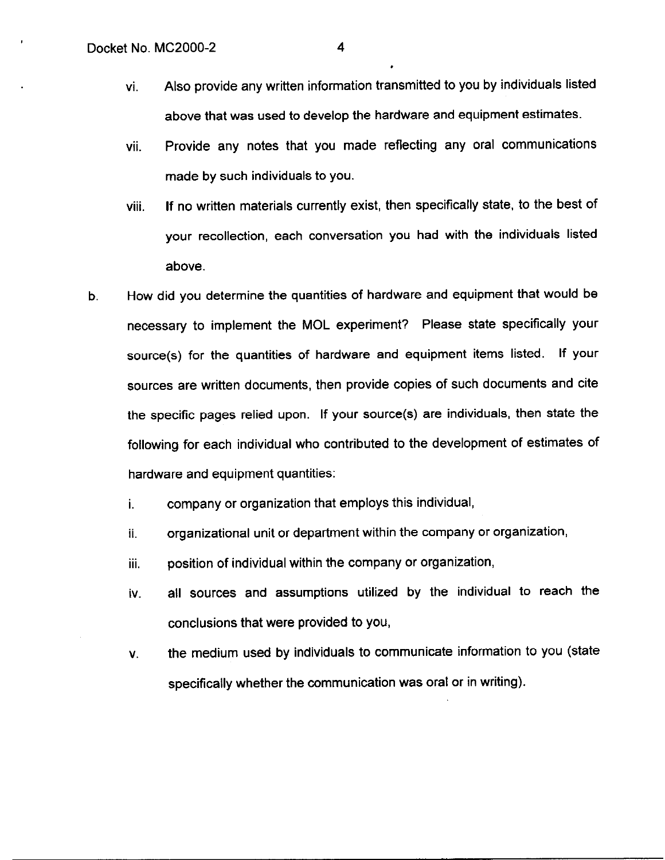- vi. Also provide any written information transmitted to you by individuals listed above that was used to develop the hardware and equipment estimates.
- vii. Provide any notes that you made reflecting any oral communications made by such individuals to you.
- viii. If no written materials currently exist, then specifically state, to the best of your recollection, each conversation you had with the individuals listed above.
- b. How did you determine the quantities of hardware and equipment that would be necessary to implement the MOL experiment? Please state specifically your source(s) for the quantities of hardware and equipment items listed. If your sources are written documents, then provide copies of such documents and cite the specific pages relied upon, If your source(s) are individuals, then state the following for each individual who contributed to the development of estimates of hardware and equipment quantities:
	- i. company or organization that employs this individual,
	- ii. organizational unit or department within the company or organization,
	- iii. position of individual within the company or organization,
	- iv. all sources and assumptions utilized by the individual to reach the conclusions that were provided to you,
	- V. the medium used by individuals to communicate information to you (state specifically whether the communication was oral or in writing).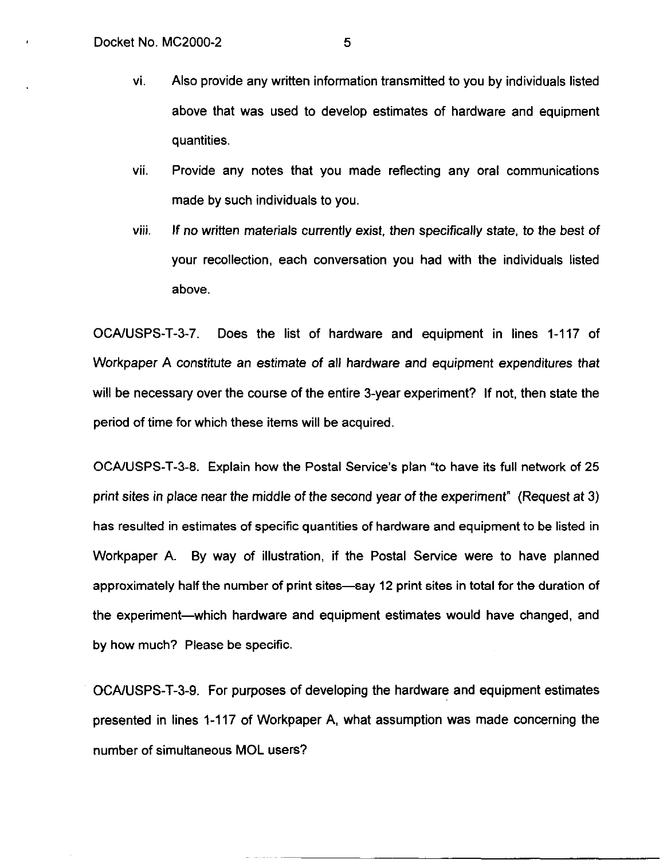- vi. Also provide any written information transmitted to you by individuals listed above that was used to develop estimates of hardware and equipment quantities.
- vii. Provide any notes that you made reflecting any oral communications made by such individuals to you.
- viii. If no written materials currently exist, then specifically state, to the best of your recollection, each conversation you had with the individuals listed above.

OCAIUSPS-T-3-7. Does the list of hardware and equipment in lines 1-117 of Workpaper A constitute an estimate of all hardware and equipment expenditures that will be necessary over the course of the entire 3-year experiment? If not, then state the period of time for which these items will be acquired.

OCA/USPS-T-3-8. Explain how the Postal Service's plan "to have its full network of 25 print sites in place near the middle of the second year of the experiment" (Request at 3) has resulted in estimates of specific quantities of hardware and equipment to be listed in Workpaper A. By way of illustration, if the Postal Service were to have planned approximately half the number of print sites-say 12 print sites in total for the duration of the experiment-which hardware and equipment estimates would have changed, and by how much? Please be specific.

OCXUSPS-T-3-9. For purposes of developing the hardware and equipment estimates presented in lines 1-117 of Workpaper A, what assumption was made concerning the number of simultaneous MOL users?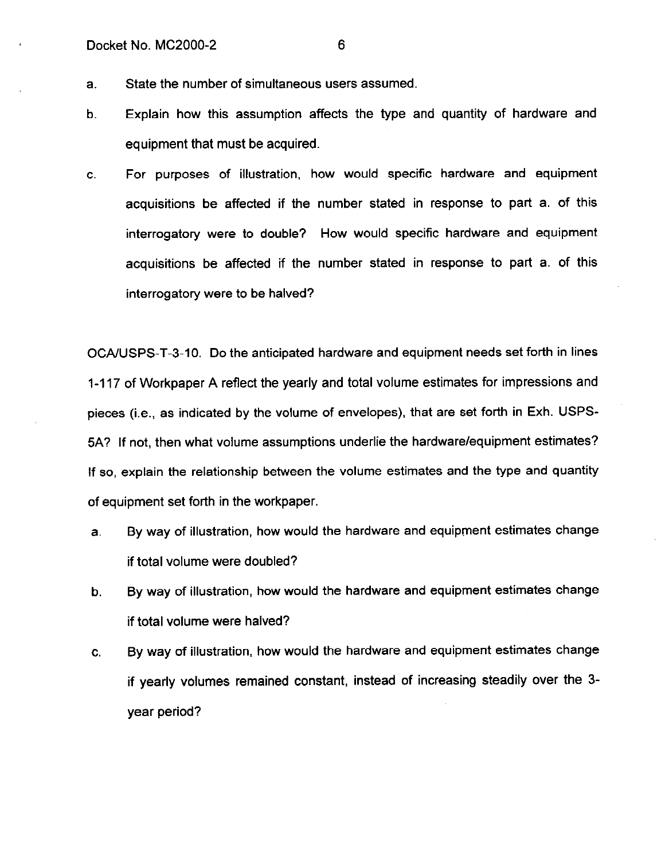- a. State the number of simultaneous users assumed.
- b. Explain how this assumption affects the type and quantity of hardware and equipment that must be acquired.
- C. For purposes of illustration, how would specific hardware and equipment acquisitions be affected if the number stated in response to part a. of this interrogatory were to double? How would specific hardware and equipment acquisitions be affected if the number stated in response to part a. of this interrogatory were to be halved?

OCAIUSPS-T-3-10. Do the anticipated hardware and equipment needs set forth in lines 1-117 of Workpaper A reflect the yearly and total volume estimates for impressions and pieces (i.e., as indicated by the volume of envelopes), that are set forth in Exh. USPS-5A? If not, then what volume assumptions underlie the hardware/equipment estimates? If so, explain the relationship between the volume estimates and the type and quantity of equipment set forth in the workpaper.

- a. By way of illustration, how would the hardware and equipment estimates change if total volume were doubled?
- b. By way of illustration, how would the hardware and equipment estimates change if total volume were halved?
- C. By way of illustration, how would the hardware and equipment estimates change if yearly volumes remained constant, instead of increasing steadily over the 3 year period?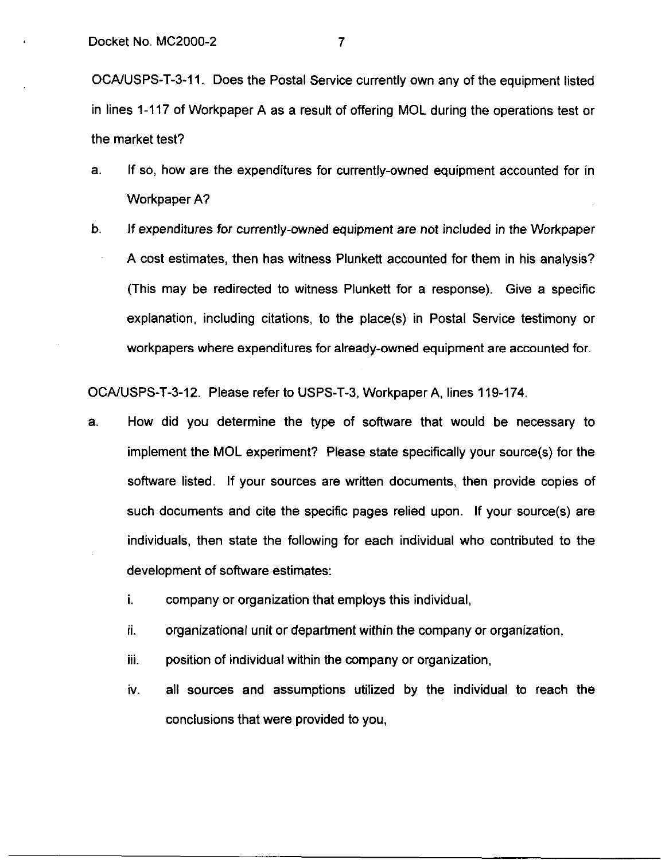OCA/USPS-T-3-11. Does the Postal Service currently own any of the equipment listed in lines 1-117 of Workpaper A as a result of offering MOL during the operations test or the market test?

- a. If so, how are the expenditures for currently-owned equipment accounted for in Workpaper A?
- b. If expenditures for currently-owned equipment are not included in the Workpaper A cost estimates, then has witness Plunkett accounted for them in his analysis? (This may be redirected to witness Plunkett for a response). Give a specific explanation, including citations, to the place(s) in Postal Service testimony or workpapers where expenditures for already-owned equipment are accounted for.

OCA/USPS-T-3-12. Please refer to USPS-T-3, Workpaper A, lines 119-174.

- a. How did you determine the type of software that would be necessary to implement the MOL experiment? Please state specifically your source(s) for the software listed. If your sources are written documents, then provide copies of such documents and cite the specific pages relied upon. If your source(s) are individuals, then state the following for each individual who contributed to the development of software estimates:
	- i. company or organization that employs this individual,
	- ii. organizational unit or department within the company or organization,
	- iii. position of individual within the company or organization,
	- iv. all sources and assumptions utilized by the individual to reach the conclusions that were provided to you,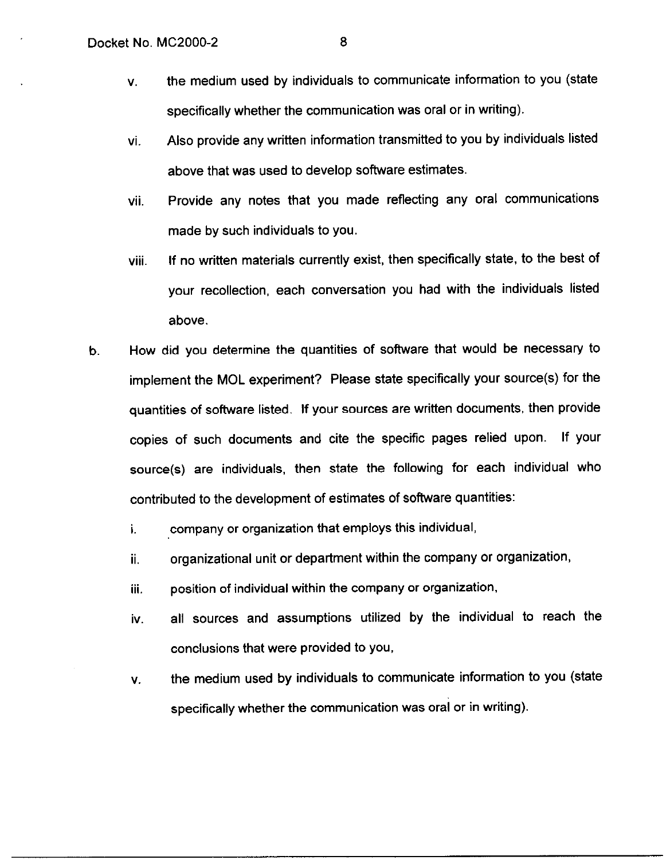- V. the medium used by individuals to communicate information to you (state specifically whether the communication was oral or in writing).
- vi. Also provide any written information transmitted to you by individuals listed above that was used to develop software estimates.
- vii. Provide any notes that you made reflecting any oral communications made by such individuals to you.
- viii. If no written materials currently exist, then specifically state, to the best of your recollection, each conversation you had with the individuals listed above.
- b. How did you determine the quantities of software that would be necessary to implement the MOL experiment? Please state specifically your source(s) for the quantities of software listed. If your sources are written documents, then provide copies of such documents and cite the specific pages relied upon. If your source(s) are individuals, then state the following for each individual who contributed to the development of estimates of software quantities:
	- i. company or organization that employs this individual,
	- ii. organizational unit or department within the company or organization,
	- ill. position of individual within the company or organization,
	- iv. all sources and assumptions utilized by the individual to reach the conclusions that were provided to you,
	- V. the medium used by individuals to communicate information to you (state specifically whether the communication was oral or in writing).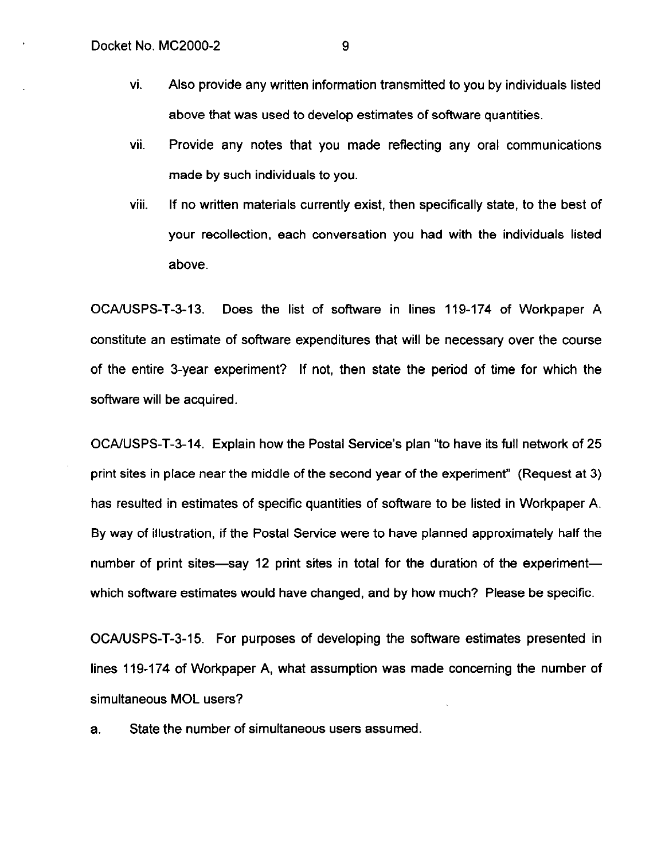- vi. Also provide any written information transmitted to you by individuals listed above that was used to develop estimates of software quantities.
- vii. Provide any notes that you made reflecting any oral communications made by such individuals to you.
- VIII. If no written materials currently exist, then specifically state, to the best of your recollection, each conversation you had with the individuals listed above.

OCAIUSPS-T-3-13. Does the list of software in lines 119-174 of Workpaper A constitute an estimate of software expenditures that will be necessary over the course of the entire 3-year experiment? If not, then state the period of time for which the software will be acquired.

OCA/USPS-T-3-14. Explain how the Postal Service's plan "to have its full network of 25 print sites in place near the middle of the second year of the experiment" (Request at 3) has resulted in estimates of specific quantities of software to be listed in Workpaper A. By way of illustration, if the Postal Service were to have planned approximately half the number of print sites-say 12 print sites in total for the duration of the experimentwhich software estimates would have changed, and by how much? Please be specific.

OCAIUSPS-T-3-15. For purposes of developing the software estimates presented in lines 119-174 of Workpaper A, what assumption was made concerning the number of simultaneous MOL users?

a. State the number of simultaneous users assumed.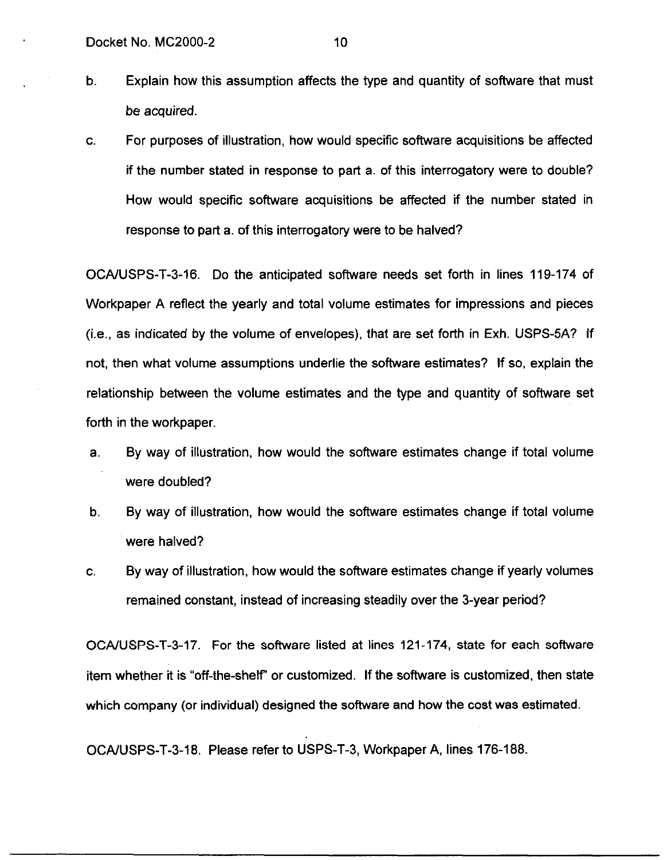- b. Explain how this assumption affects the type and quantity of software that must be acquired.
- C. For purposes of illustration, how would specific software acquisitions be affected if the number stated in response to part a. of this interrogatory were to double? How would specific software acquisitions be affected if the number stated in response to part a. of this interrogatory were to be halved?

OCAAJSPS-T-3-16. Do the anticipated software needs set forth in lines 119-174 of Workpaper A reflect the yearly and total volume estimates for impressions and pieces  $(i.e., as indicated by the volume of envelopes), that are set forth in Exh. USPS-5A? If$ not, then what volume assumptions underlie the software estimates? If so, explain the relationship between the volume estimates and the type and quantity of software set forth in the workpaper.

- a. By way of illustration, how would the software estimates change if total volume were doubled?
- b. By way of illustration, how would the software estimates change if total volume were halved?
- C. By way of illustration, how would the software estimates change if yearly volumes remained constant, instead of increasing steadily over the 3-year period?

OCA/USPS-T-3-17. For the software listed at lines 121-174, state for each software item whether it is "off-the-shelf' or customized. If the software is customized, then state which company (or individual) designed the software and how the cost was estimated.

OCAIUSPS-T-3-18. Please refer to USPS-T-3, Workpaper A, lines 176-188.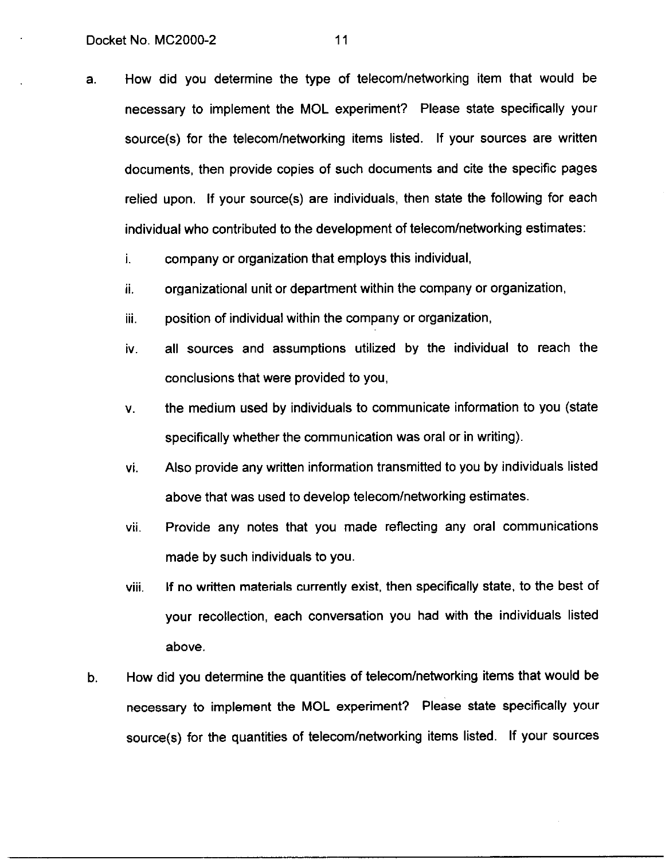a. How did you determine the type of telecom/networking item that would be necessary to implement the MOL experiment? Please state specifically your source(s) for the telecom/networking items listed. If your sources are written documents, then provide copies of such documents and cite the specific pages relied upon. If your source(s) are individuals, then state the following for each individual who contributed to the development of telecom/networking estimates:

i. company or organization that employs this individual,

- ii. organizational unit or department within the company or organization,
- iii. position of individual within the company or organization,
- iv. all sources and assumptions utilized by the individual to reach the conclusions that were provided to you,
- V. the medium used by individuals to communicate information to you (state specifically whether the communication was oral or in writing).
- vi. Also provide any written information transmitted to you by individuals listed above that was used to develop telecom/networking estimates.
- vii. Provide any notes that you made reflecting any oral communications made by such individuals to you.
- viii. If no written materials currently exist, then specifically state, to the best of your recollection, each conversation you had with the individuals listed above.
- b. How did you determine the quantities of telecom/networking items that would be necessary to implement the MOL experiment? Please state specifically your source(s) for the quantities of telecom/networking items listed. If your sources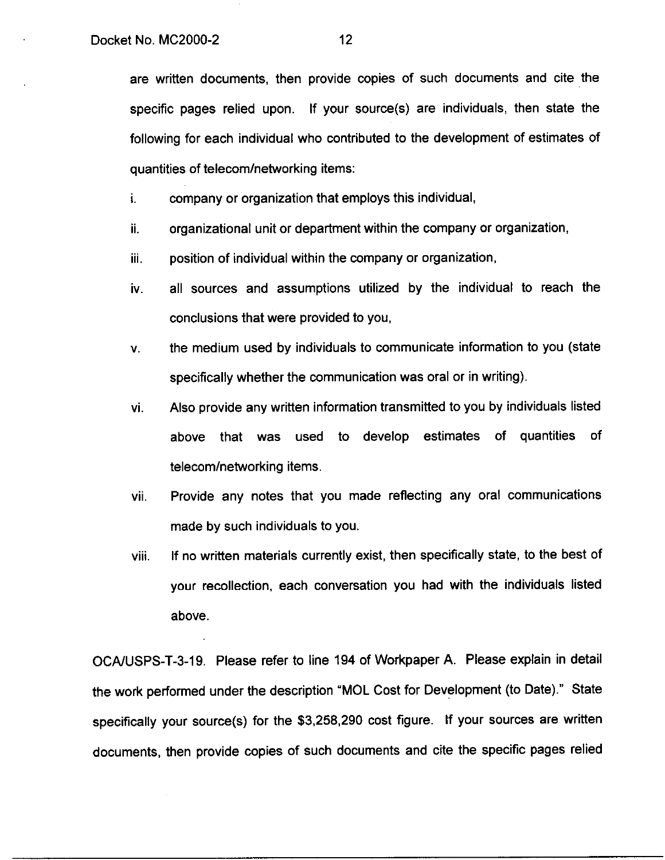are written documents, then provide copies of such documents and cite the specific pages relied upon. If your source(s) are individuals, then state the following for each individual who contributed to the development of estimates of quantities of telecom/networking items:

i. company or organization that employs this individual,

- ii. organizational unit or department within the company or organization,
- Ill. position of individual within the company or organization,
- iv. all sources and assumptions utilized by the individual to reach the conclusions that were provided to you,
- V. the medium used by individuals to communicate information to you (state specifically whether the communication was oral or in writing).
- vi. Also provide any written information transmitted to you by individuals listed above that was used to develop estimates of quantities of telecom/networking items.
- vii. Provide any notes that you made reflecting any oral communications made by such individuals to you.
- VIII If no written materials currently exist, then specifically state, to the best of your recollection, each conversation you had with the individuals listed above.

OCA/USPS-T-3-19. Please refer to line 194 of Workpaper A. Please explain in detail the work performed under the description "MOL Cost for Development (to Date)." State specifically your source(s) for the \$3,258,290 cost figure. If your sources are written documents, then provide copies of such documents and cite the specific pages relied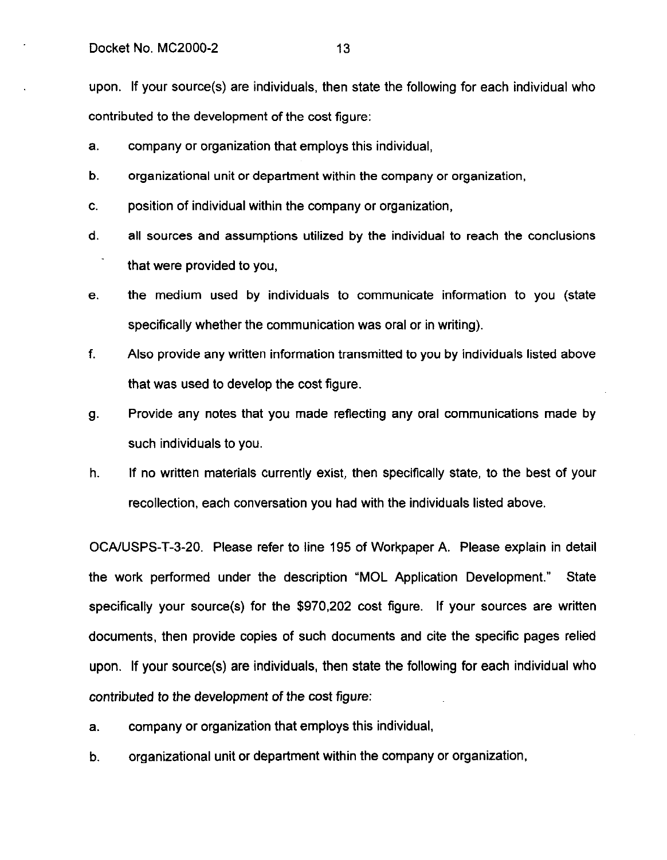upon. If your source(s) are individuals, then state the following for each individual who contributed to the development of the cost figure:

- a. company or organization that employs this individual,
- b. organizational unit or department within the company or organization,
- C. position of individual within the company or organization,
- d. all sources and assumptions utilized by the individual to reach the conclusions that were provided to you,
- e. the medium used by individuals to communicate information to you (state specifically whether the communication was oral or in writing).
- f. Also provide any written information transmitted to you by individuals listed above that was used to develop the cost figure.
- 9. Provide any notes that you made reflecting any oral communications made by such individuals to you.
- h. If no written materials currently exist, then specifically state, to the best of your recollection, each conversation you had with the individuals listed above.

OCA/USPS-T-3-20. Please refer to line 195 of Workpaper A. Please explain in detail the work performed under the description "MOL Application Development." State specifically your source(s) for the \$970,202 cost figure. If your sources are written documents, then provide copies of such documents and cite the specific pages relied upon. If your source(s) are individuals, then state the following for each individual who contributed to the development of the cost figure:

- a. company or organization that employs this individual,
- b. organizational unit or department within the company or organization,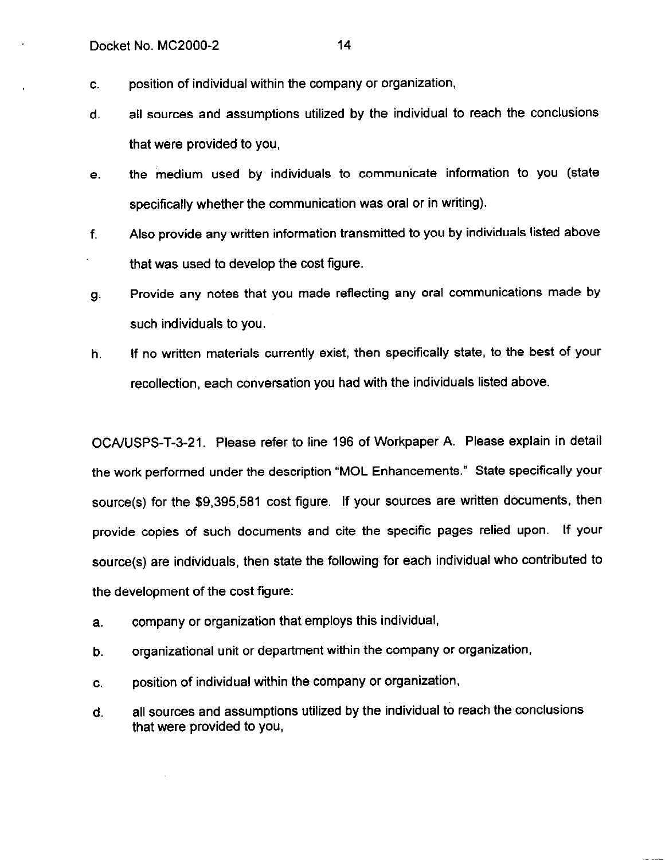- C. position of individual within the company or organization,
- d. all sources and assumptions utilized by the individual to reach the conclusions that were provided to you,
- e. the medium used by individuals to communicate information to you (state specifically whether the communication was oral or in writing).
- f. Also provide any written information transmitted to you by individuals listed above that was used to develop the cost figure.
- 9. Provide any notes that you made reflecting any oral communications made by such individuals to you.
- h. If no written materials currently exist, then specifically state, to the best of your recollection, each conversation you had with the individuals listed above.

OCA/USPS-T-3-21. Please refer to line 196 of Workpaper A. Please explain in detail the work performed under the description "MOL Enhancements." State specifically your source(s) for the \$9,395,581 cost figure. If your sources are written documents, then provide copies of such documents and cite the specific pages relied upon. If your source(s) are individuals, then state the following for each individual who contributed to the development of the cost figure:

- a. company or organization that employs this individual,
- b. organizational unit or department within the company or organization,
- C. position of individual within the company or organization,
- d. all sources and assumptions utilized by the individual to reach the conclusions that were provided to you,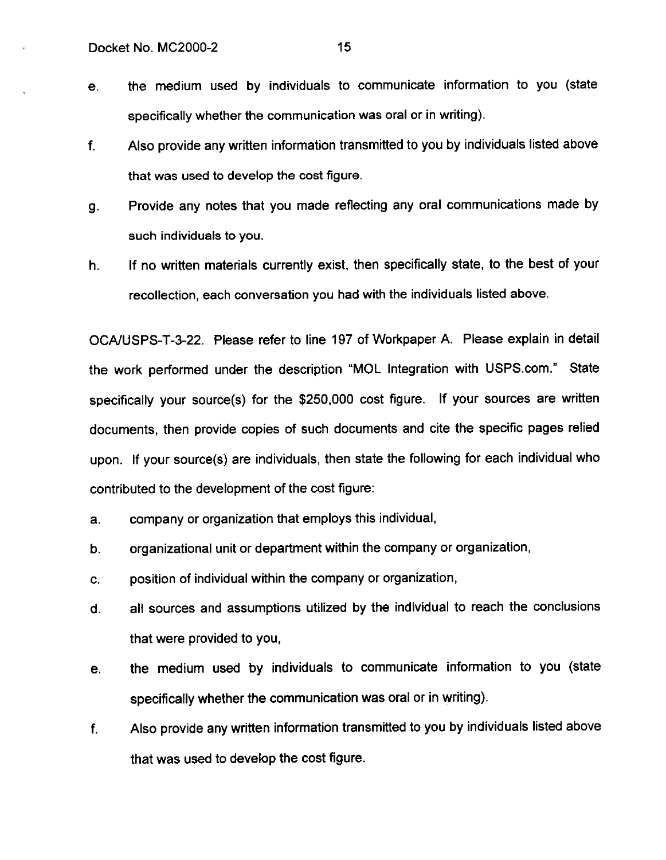- e. the medium used by individuals to communicate information to you (state specifically whether the communication was oral or in writing).
- f. Also provide any written information transmitted to you by individuals listed above that was used to develop the cost figure.
- 9. Provide any notes that you made reflecting any oral communications made by such individuals to you.
- h. If no written materials currently exist, then specifically state, to the best of your recollection, each conversation you had with the individuals listed above.

OCA/USPS-T-3-22. Please refer to line 197 of Workpaper A. Please explain in detail the work performed under the description "MOL Integration with USPS.com." State specifically your source(s) for the \$250,000 cost figure. If your sources are written documents, then provide copies of such documents and cite the specific pages relied upon. If your source(s) are individuals, then state the following for each individual who contributed to the development of the cost figure:

- a. company or organization that employs this individual,
- b. organizational unit or department within the company or organization,
- C. position of individual within the company or organization,
- d. all sources and assumptions utilized by the individual to reach the conclusions that were provided to you,
- e. the medium used by individuals to communicate information to you (state specifically whether the communication was oral or in writing).
- f. Also provide any written information transmitted to you by individuals listed above that was used to develop the cost figure.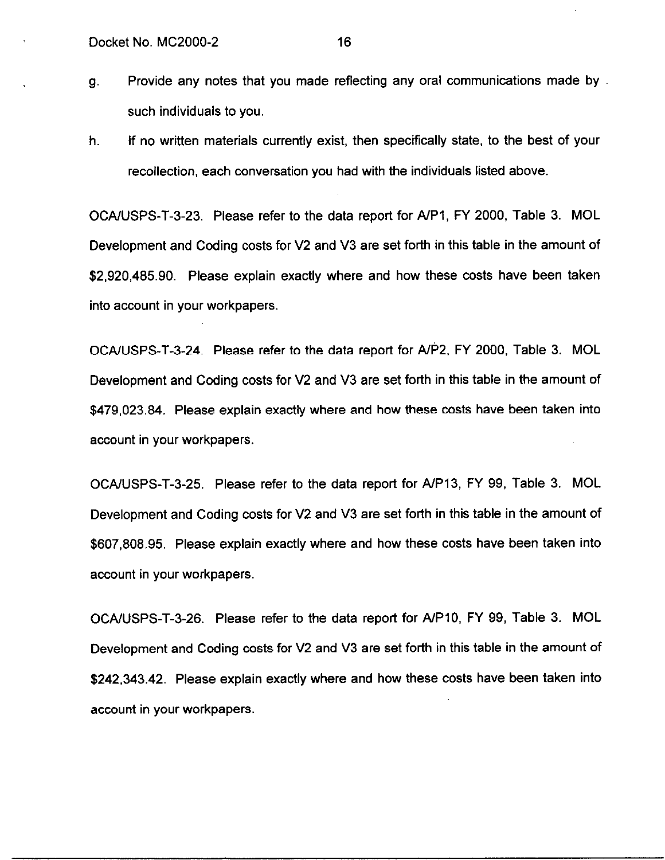- 9. Provide any notes that you made reflecting any oral communications made by such individuals to you.
- h. If no written materials currently exist, then specifically state, to the best of your recollection, each conversation you had with the individuals listed above.

OCAIUSPS-T-3-23. Please refer to the data report for A/PI, FY 2000, Table 3. MOL Development and Coding costs for V2 and V3 are set forth in this table in the amount of \$2,920,485.90. Please explain exactly where and how these costs have been taken into account in your workpapers.

OCAAJSPS-T-3-24. Please refer to the data report for AIP2, FY 2000, Table 3. MOL Development and Coding costs for V2 and V3 are set forth in this table in the amount of \$479,023.84. Please explain exactly where and how these costs have been taken into account in your workpapers.

OCA/USPS-T-3-25. Please refer to the data report for A/P13, FY 99, Table 3. MOL Development and Coding costs for V2 and V3 are set forth in this table in the amount of \$607,808.95. Please explain exactly where and how these costs have been taken into account in your workpapers.

OCA/USPS-T-3-26. Please refer to the data report for A/P10, FY 99, Table 3. MOL Development and Coding costs for V2 and V3 are set forth in this table in the amount of \$242,343.42. Please explain exactly where and how these costs have been taken into account in your workpapers.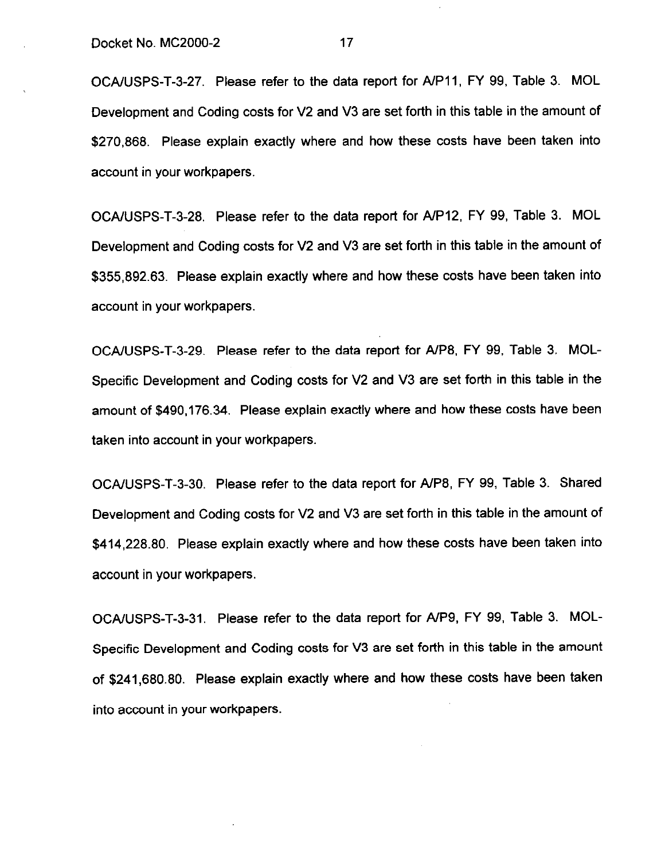OCA/USPS-T-3-27. Please refer to the data report for A/P11, FY 99, Table 3. MOL Development and Coding costs for V2 and V3 are set forth in this table in the amount of \$270,868. Please explain exactly where and how these costs have been taken into account in your workpapers.

OCAIUSPS-T-3-28. Please refer to the data report for A/P12, FY 99, Table 3. MOL Development and Coding costs for V2 and V3 are set forth in this table in the amount of \$355,892.63. Please explain exactly where and how these costs have been taken into account in your workpapers.

OCAIUSPS-T-3-29. Please refer to the data report for AIP8, FY 99, Table 3. MOL-Specific Development and Coding costs for V2 and V3 are set forth in this table in the amount of \$490,176.34. Please explain exactly where and how these costs have been taken into account in your workpapers.

OCAIUSPS-T-3-30. Please refer to the data report for A/P8, FY 99, Table 3. Shared Development and Coding costs for V2 and V3 are set forth in this table in the amount of \$414,228.80. Please explain exactly where and how these costs have been taken into account in your workpapers.

OCA/USPS-T-3-31. Please refer to the data report for A/P9, FY 99, Table 3. MOL-Specific Development and Coding costs for V3 are set forth in this table in the amount of \$241,680.80. Please explain exactly where and how these costs have been taken into account in your workpapers.